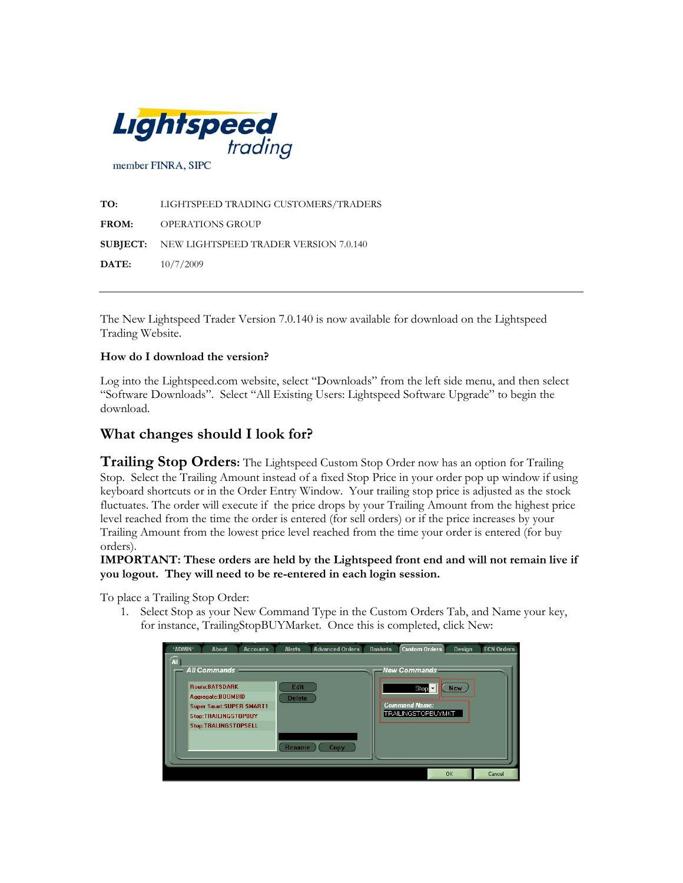

| TO:          | LIGHTSPEED TRADING CUSTOMERS/TRADERS                  |
|--------------|-------------------------------------------------------|
| <b>FROM:</b> | OPERATIONS GROUP                                      |
|              | <b>SUBJECT:</b> NEW LIGHTSPEED TRADER VERSION 7.0.140 |
| DATE:        | 10/7/2009                                             |

The New Lightspeed Trader Version 7.0.140 is now available for download on the Lightspeed Trading Website.

## **How do I download the version?**

Log into the Lightspeed.com website, select "Downloads" from the left side menu, and then select "Software Downloads". Select "All Existing Users: Lightspeed Software Upgrade" to begin the download.

## **What changes should I look for?**

**Trailing Stop Orders:** The Lightspeed Custom Stop Order now has an option for Trailing Stop. Select the Trailing Amount instead of a fixed Stop Price in your order pop up window if using keyboard shortcuts or in the Order Entry Window. Your trailing stop price is adjusted as the stock fluctuates. The order will execute if the price drops by your Trailing Amount from the highest price level reached from the time the order is entered (for sell orders) or if the price increases by your Trailing Amount from the lowest price level reached from the time your order is entered (for buy orders).

**IMPORTANT: These orders are held by the Lightspeed front end and will not remain live if you logout. They will need to be re-entered in each login session.** 

To place a Trailing Stop Order:

1. Select Stop as your New Command Type in the Custom Orders Tab, and Name your key, for instance, TrailingStopBUYMarket. Once this is completed, click New:

| *ADMIN*<br><b>All</b> | <b>About</b>                                                                                                                                                         | <b>Accounts</b> | <b>Alerts</b>                   | <b>Advanced Orders</b> | <b>Baskets</b> | <b>Custom Orders</b>                                                 | Design     | <b>ECN Orders</b> |
|-----------------------|----------------------------------------------------------------------------------------------------------------------------------------------------------------------|-----------------|---------------------------------|------------------------|----------------|----------------------------------------------------------------------|------------|-------------------|
|                       | <b>All Commands</b><br><b>Route:BATSDARK</b><br>Aggregate: BOOMBID<br><b>Super Smart: SUPER SMART1</b><br><b>Stop:TRAILINGSTOPBUY</b><br><b>Stop:TRALINGSTOPSELL</b> |                 | Edit<br><b>Delete</b><br>Rename | Copy                   |                | New Commands<br>Stop -<br><b>Command Name:</b><br>TRAILINGSTOPBUYMKT | <b>New</b> |                   |
|                       |                                                                                                                                                                      |                 |                                 |                        |                |                                                                      | OK         | Cancel            |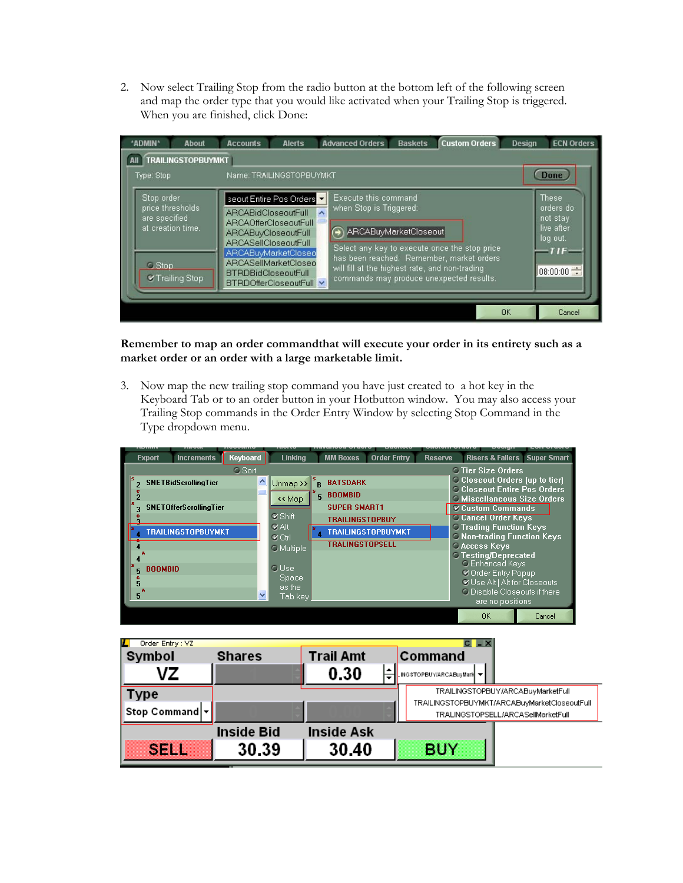2. Now select Trailing Stop from the radio button at the bottom left of the following screen and map the order type that you would like activated when your Trailing Stop is triggered. When you are finished, click Done:



**Remember to map an order commandthat will execute your order in its entirety such as a market order or an order with a large marketable limit.** 

3. Now map the new trailing stop command you have just created to a hot key in the Keyboard Tab or to an order button in your Hotbutton window. You may also access your Trailing Stop commands in the Order Entry Window by selecting Stop Command in the Type dropdown menu.

| <b>Export</b>            | <b>Increments</b>                                                                         | Keyboard           | Linkina                                                                                     |         | <b>MM Boxes</b>                                                                                              | <b>Order Entry</b>        | <b>Reserve</b> |                                                                                                                                                                                                                                                                                                                                                      | <b>Risers &amp; Fallers Super Smart</b> |
|--------------------------|-------------------------------------------------------------------------------------------|--------------------|---------------------------------------------------------------------------------------------|---------|--------------------------------------------------------------------------------------------------------------|---------------------------|----------------|------------------------------------------------------------------------------------------------------------------------------------------------------------------------------------------------------------------------------------------------------------------------------------------------------------------------------------------------------|-----------------------------------------|
|                          | <b>SNETBidScrollingTier</b><br><b>SNETOfferScrollingTier</b><br><b>TRAILINGSTOPBUYMKT</b> | <b>C</b> Sort<br>۸ | $Unmap$ >><br><< Map<br><b>V</b> Shift<br><b>VAIt</b><br>$\alpha$ Ctrl<br><b>O</b> Multiple | R<br>5. | <b>BATSDARK</b><br><b>BOOMBID</b><br><b>SUPER SMART1</b><br><b>TRAILINGSTOPBUY</b><br><b>TRALINGSTOPSELL</b> | <b>TRAILINGSTOPBUYMKT</b> |                | <b>C</b> Tier Size Orders<br><b>Closeout Orders (up to tier)</b><br><b>C Closeout Entire Pos Orders</b><br><b>C</b> Miscellaneous Size Orders<br>Custom Commands<br><b>Cancel Order Keys</b><br><b>C Trading Function Keys</b><br><b>C Non-trading Function Keys</b><br><b>CAccess Keys</b><br><b>C</b> Testing/Deprecated<br><b>C</b> Enhanced Keys |                                         |
| <b>BOOMBID</b><br>5<br>5 |                                                                                           | ×                  | <b>O</b> Use<br>Space,<br>as the<br>Tab key                                                 |         |                                                                                                              |                           |                | Corder Entry Popup<br><b></b> <i><b>√</b> Use Alt   Alt for Closeouts</i><br>O Disable Closeouts if there<br>are no positions.<br><b>OK</b>                                                                                                                                                                                                          | Cancel                                  |

| ш<br>Order Entry: VZ |                   |                   |                                                        |  |  |  |  |  |  |
|----------------------|-------------------|-------------------|--------------------------------------------------------|--|--|--|--|--|--|
| Symbol               | <b>Shares</b>     | <b>Trail Amt</b>  | Command                                                |  |  |  |  |  |  |
| VZ                   |                   | 0.30              | <b>I.</b> ING STOPBUY/ARCABUYMark $\blacktriangledown$ |  |  |  |  |  |  |
| Type                 |                   |                   | TRAILINGSTOPBUY/ARCABuyMarketFull                      |  |  |  |  |  |  |
| Stop Command -       |                   |                   | TRAILINGSTOPBUYMKT/ARCABuyMarketCloseoutFull           |  |  |  |  |  |  |
|                      |                   |                   | TRALINGSTOPSELL/ARCASellMarketFull                     |  |  |  |  |  |  |
|                      | <b>Inside Bid</b> | <b>Inside Ask</b> |                                                        |  |  |  |  |  |  |
| SELL                 | 30.39             | 30.40             | <b>BUY</b>                                             |  |  |  |  |  |  |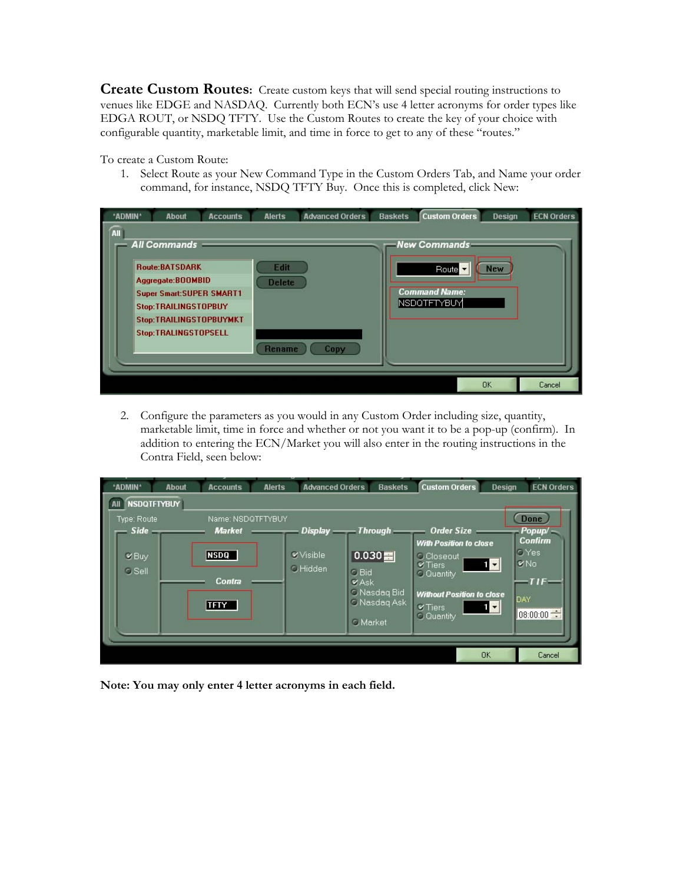**Create Custom Routes:** Create custom keys that will send special routing instructions to venues like EDGE and NASDAQ. Currently both ECN's use 4 letter acronyms for order types like EDGA ROUT, or NSDQ TFTY. Use the Custom Routes to create the key of your choice with configurable quantity, marketable limit, and time in force to get to any of these "routes."

To create a Custom Route:

1. Select Route as your New Command Type in the Custom Orders Tab, and Name your order command, for instance, NSDQ TFTY Buy. Once this is completed, click New:

| *ADMIN* | About                                                                                                                                                                                    | <b>Accounts</b> | <b>Alerts</b>                   | <b>Advanced Orders</b> | <b>Baskets</b> | <b>Custom Orders</b>                                             | <b>Design</b> | <b>ECN Orders</b> |
|---------|------------------------------------------------------------------------------------------------------------------------------------------------------------------------------------------|-----------------|---------------------------------|------------------------|----------------|------------------------------------------------------------------|---------------|-------------------|
| All     | <b>All Commands</b><br><b>Route:BATSDARK</b><br>Aggregate: BOOMBID<br><b>Super Smart: SUPER SMART1</b><br>Stop:TRAILINGSTOPBUY<br>Stop:TRAILINGSTOPBUYMKT<br><b>Stop:TRALINGSTOPSELL</b> |                 | Edit<br><b>Delete</b><br>Rename | Copy                   |                | -New Commands<br>Route -<br><b>Command Name:</b><br> NSDQTFTYBUY | <b>New</b>    |                   |
|         |                                                                                                                                                                                          |                 |                                 |                        |                |                                                                  | <b>OK</b>     | Cancel            |

2. Configure the parameters as you would in any Custom Order including size, quantity, marketable limit, time in force and whether or not you want it to be a pop-up (confirm). In addition to entering the ECN/Market you will also enter in the routing instructions in the Contra Field, seen below:

| *ADMIN*                                                                   | <b>About</b> | <b>Accounts</b>                                                            | <b>Alerts</b> | <b>Advanced Orders</b>                                   |                                  | <b>Baskets</b>                                      | <b>Custom Orders</b>                                                                                                                                                          | <b>Design</b>                                          | <b>ECN Orders</b>                                                                                |
|---------------------------------------------------------------------------|--------------|----------------------------------------------------------------------------|---------------|----------------------------------------------------------|----------------------------------|-----------------------------------------------------|-------------------------------------------------------------------------------------------------------------------------------------------------------------------------------|--------------------------------------------------------|--------------------------------------------------------------------------------------------------|
| <b>NSDQTFTYBUY</b><br>Type: Route<br>$Side -$<br>$Q$ Buy<br><b>O</b> Sell |              | Name: NSDQTFTYBUY<br><b>Market</b><br><b>NSDQ</b><br>Contra<br><b>TFTY</b> |               | $Display$ Through<br><b>V</b> Visible<br><b>O</b> Hidden | C Bid<br>VAsk<br><b>O</b> Market | 0.030<br><b>C</b> Nasdaq Bid<br><b>C Nasdag Ask</b> | <b>Order Size</b><br><b>With Position to close</b><br><b>C</b> Closeout<br>$V$ Tiers<br>C Quantity<br><b>Without Position to close</b><br><b>V</b> Tiers<br><b>C</b> Quantity | $\mathbf{1}$ $\mathbf{1}$<br>$\mathbf{1}$ $\mathbf{-}$ | <b>Done</b><br>Popup/<br><b>Confirm</b><br><b>O</b> Yes<br><b>V</b> No<br>TIF<br>DAY<br>08:00:00 |
|                                                                           |              |                                                                            |               |                                                          |                                  |                                                     |                                                                                                                                                                               | <b>OK</b>                                              | Cancel                                                                                           |

**Note: You may only enter 4 letter acronyms in each field.**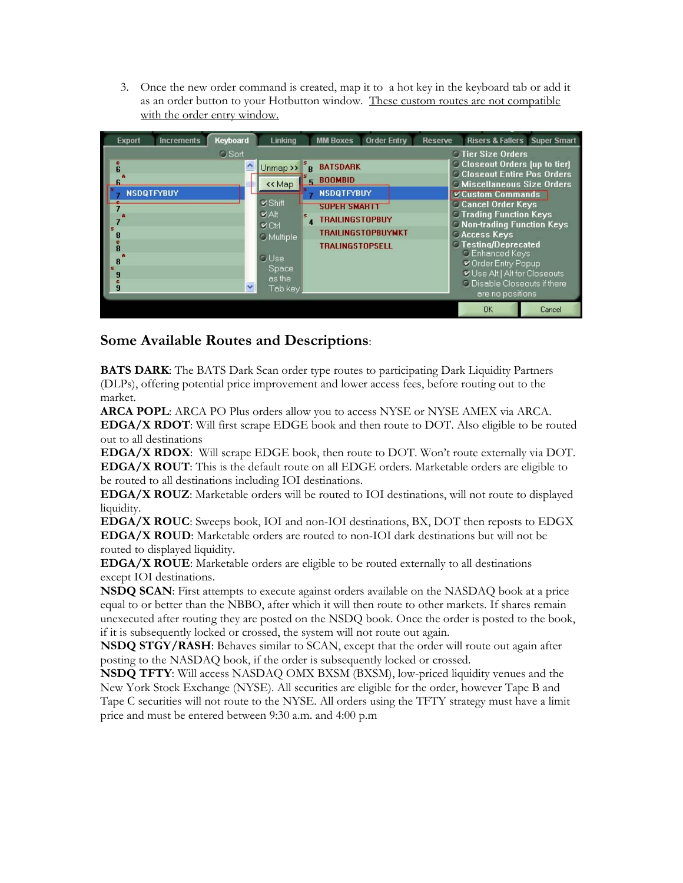3. Once the new order command is created, map it to a hot key in the keyboard tab or add it as an order button to your Hotbutton window. These custom routes are not compatible with the order entry window.

| Keyboard<br><b>Increments</b><br><b>Export</b>                                            | Linking                                                                                                                                                              | <b>MM Boxes</b><br><b>Order Entry</b>                                                                                                                                     | <b>Reserve</b><br><b>Risers &amp; Fallers Super Smart</b>                                                                                                                                                                                                                                                                                                                                                                                         |
|-------------------------------------------------------------------------------------------|----------------------------------------------------------------------------------------------------------------------------------------------------------------------|---------------------------------------------------------------------------------------------------------------------------------------------------------------------------|---------------------------------------------------------------------------------------------------------------------------------------------------------------------------------------------------------------------------------------------------------------------------------------------------------------------------------------------------------------------------------------------------------------------------------------------------|
| <b>O</b> Sort<br>$\frac{6}{6}$<br><b>NSDOTFYBUY</b><br>8<br>$\overline{R}$<br>8<br>g<br>g | Ą<br>Unmap >><br><< Map<br>$\n  Shift\n$<br><b>VAIt</b><br>$\alpha$ Ctrl<br><b>C</b> Multiple<br><b>O</b> Use<br>Space:<br>as the<br>$\ddot{\phantom{1}}$<br>Tab key | <b>BATSDARK</b><br>R<br><b>BOOMBID</b><br>5.<br><b>NSDQTFYBUY</b><br><b>SUPER SMART1</b><br><b>TRAILINGSTOPBUY</b><br><b>TRAILINGSTOPBUYMKT</b><br><b>TRALINGSTOPSELL</b> | <b>C</b> Tier Size Orders<br>C Closeout Orders (up to tier)<br><b>C Closeout Entire Pos Orders</b><br><b>C Miscellaneous Size Orders</b><br>Custom Commands<br>Cancel Order Keys<br><b>C Trading Function Keys</b><br><b>C Non-trading Function Keys</b><br><b>CAccess Keys</b><br><b>C</b> Testing/Deprecated<br>C Enhanced Keys<br>COrder Entry Popup<br>Use Alt   Alt for Closeouts<br><b>C</b> Disable Closeouts if there<br>are no positions |
|                                                                                           |                                                                                                                                                                      |                                                                                                                                                                           | <b>DK</b><br>Cancel                                                                                                                                                                                                                                                                                                                                                                                                                               |

## **Some Available Routes and Descriptions**:

**BATS DARK**: The BATS Dark Scan order type routes to participating Dark Liquidity Partners (DLPs), offering potential price improvement and lower access fees, before routing out to the market.

**ARCA POPL**: ARCA PO Plus orders allow you to access NYSE or NYSE AMEX via ARCA. **EDGA/X RDOT**: Will first scrape EDGE book and then route to DOT. Also eligible to be routed out to all destinations

**EDGA/X RDOX**: Will scrape EDGE book, then route to DOT. Won't route externally via DOT. **EDGA/X ROUT**: This is the default route on all EDGE orders. Marketable orders are eligible to be routed to all destinations including IOI destinations.

**EDGA/X ROUZ**: Marketable orders will be routed to IOI destinations, will not route to displayed liquidity.

**EDGA/X ROUC**: Sweeps book, IOI and non-IOI destinations, BX, DOT then reposts to EDGX **EDGA/X ROUD**: Marketable orders are routed to non-IOI dark destinations but will not be routed to displayed liquidity.

**EDGA/X ROUE**: Marketable orders are eligible to be routed externally to all destinations except IOI destinations.

**NSDQ SCAN**: First attempts to execute against orders available on the NASDAQ book at a price equal to or better than the NBBO, after which it will then route to other markets. If shares remain unexecuted after routing they are posted on the NSDQ book. Once the order is posted to the book, if it is subsequently locked or crossed, the system will not route out again.

**NSDQ STGY/RASH**: Behaves similar to SCAN, except that the order will route out again after posting to the NASDAQ book, if the order is subsequently locked or crossed.

**NSDQ TFTY**: Will access NASDAQ OMX BXSM (BXSM), low-priced liquidity venues and the New York Stock Exchange (NYSE). All securities are eligible for the order, however Tape B and Tape C securities will not route to the NYSE. All orders using the TFTY strategy must have a limit price and must be entered between 9:30 a.m. and 4:00 p.m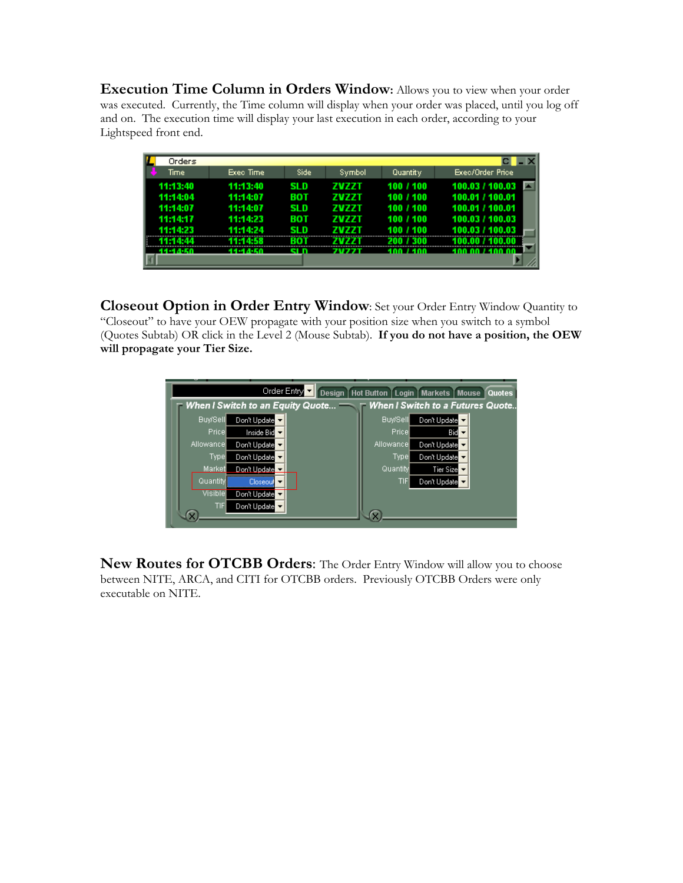**Execution Time Column in Orders Window:** Allows you to view when your order was executed. Currently, the Time column will display when your order was placed, until you log off and on. The execution time will display your last execution in each order, according to your Lightspeed front end.

| H<br>Orders          |                      |             |                       |                        |                                    |
|----------------------|----------------------|-------------|-----------------------|------------------------|------------------------------------|
| Time                 | Exec Time            | Side        | Symbol                | Quantity               | Exec/Order Price                   |
| 11:13:40             | 11:13:40             | <b>SLD</b>  | <b>ZVZZT</b>          | 100 / 100              | 100.03 / 100.03                    |
| 11:14:04             | 11:14:07             | вот         | ZVZZT                 | 100 / 100              | 100.01 / 100.01                    |
| 11:14:07             | 11:14:07             | <b>SLD</b>  | <b>ZVZZT</b>          | 100 / 100              | 100.01 / 100.01                    |
| 11:14:17<br>11:14:23 | 11:14:23<br>11:14:24 | вот<br>SI D | <b>ZVZZT</b><br>7V77T | 100 / 100<br>100 / 100 | 100.03 / 100.03<br>100.03 / 100.03 |
|                      | 11-14-58             | BOT         |                       |                        |                                    |
| 14-14-50             | 44-44-50             | el n        | <b>7077T</b>          | 400 / 400              | 100.00 / 100.00                    |
|                      |                      |             |                       |                        |                                    |

**Closeout Option in Order Entry Window**: Set your Order Entry Window Quantity to "Closeout" to have your OEW propagate with your position size when you switch to a symbol (Quotes Subtab) OR click in the Level 2 (Mouse Subtab). **If you do not have a position, the OEW will propagate your Tier Size.** 



**New Routes for OTCBB Orders**: The Order Entry Window will allow you to choose between NITE, ARCA, and CITI for OTCBB orders. Previously OTCBB Orders were only executable on NITE.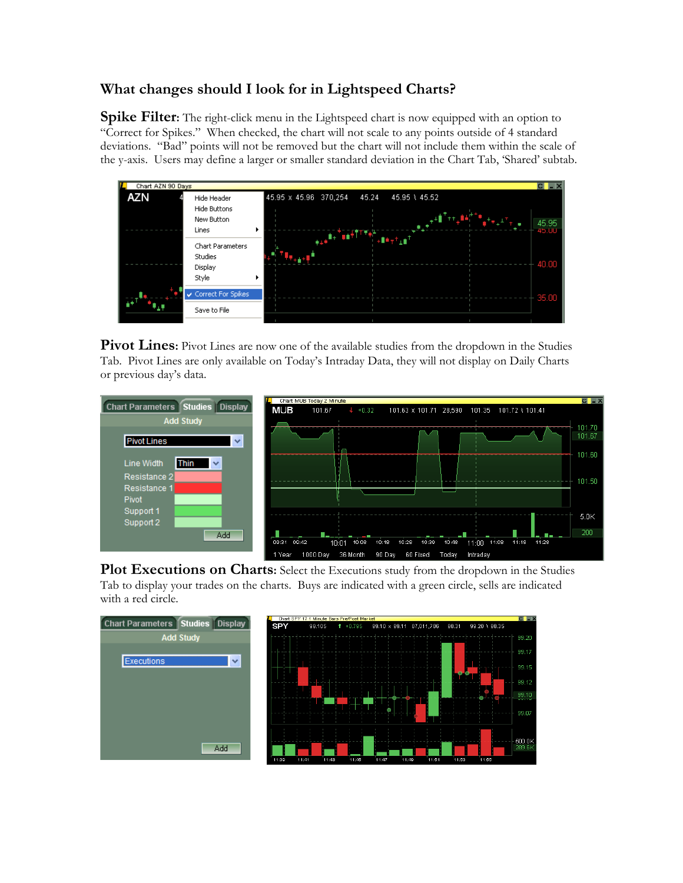## **What changes should I look for in Lightspeed Charts?**

**Spike Filter:** The right-click menu in the Lightspeed chart is now equipped with an option to "Correct for Spikes." When checked, the chart will not scale to any points outside of 4 standard deviations. "Bad" points will not be removed but the chart will not include them within the scale of the y-axis. Users may define a larger or smaller standard deviation in the Chart Tab, 'Shared' subtab.



Pivot Lines: Pivot Lines are now one of the available studies from the dropdown in the Studies Tab. Pivot Lines are only available on Today's Intraday Data, they will not display on Daily Charts or previous day's data.



Plot Executions on Charts: Select the Executions study from the dropdown in the Studies Tab to display your trades on the charts. Buys are indicated with a green circle, sells are indicated with a red circle.

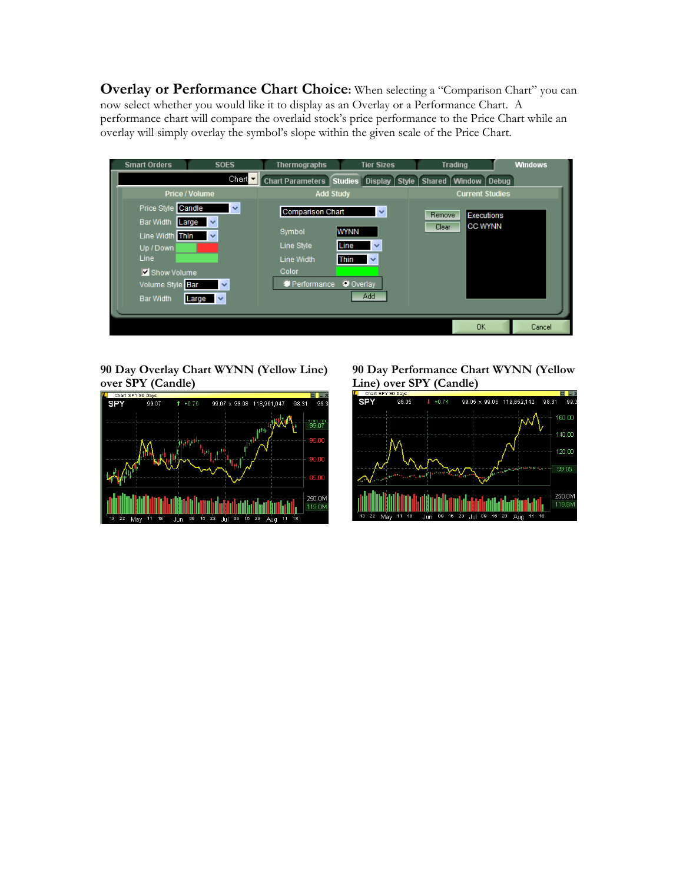**Overlay or Performance Chart Choice:** When selecting a "Comparison Chart" you can now select whether you would like it to display as an Overlay or a Performance Chart. A performance chart will compare the overlaid stock's price performance to the Price Chart while an overlay will simply overlay the symbol's slope within the given scale of the Price Chart.



**90 Day Overlay Chart WYNN (Yellow Line) over SPY (Candle)** 



**90 Day Performance Chart WYNN (Yellow Line) over SPY (Candle)**